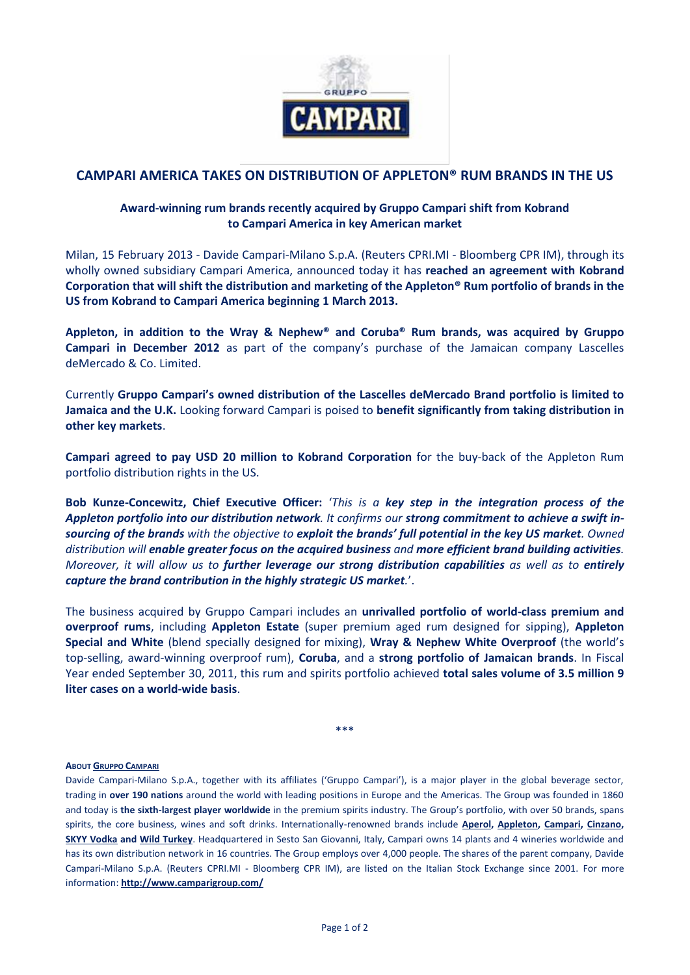

# **CAMPARI AMERICA TAKES ON DISTRIBUTION OF APPLETON® RUM BRANDS IN THE US**

## **Award-winning rum brands recently acquired by Gruppo Campari shift from Kobrand to Campari America in key American market**

Milan, 15 February 2013 - Davide Campari-Milano S.p.A. (Reuters CPRI.MI - Bloomberg CPR IM), through its wholly owned subsidiary [Campari America,](http://www.campariamerica.com/) announced today it has **reached an agreement with Kobrand Corporation that will shift the distribution and marketing of the Appleton® Rum portfolio of brands in the US from Kobrand to Campari America beginning 1 March 2013.**

**Appleton, in addition to the Wray & Nephew® and Coruba® Rum brands, was acquired by Gruppo Campari in December 2012** as part of the company's purchase of the Jamaican company Lascelles deMercado & Co. Limited.

Currently **Gruppo Campari's owned distribution of the Lascelles deMercado Brand portfolio is limited to Jamaica and the U.K.** Looking forward Campari is poised to **benefit significantly from taking distribution in other key markets**.

**Campari agreed to pay USD 20 million to Kobrand Corporation** for the buy-back of the Appleton Rum portfolio distribution rights in the US.

**Bob Kunze-Concewitz, Chief Executive Officer:** '*This is a key step in the integration process of the Appleton portfolio into our distribution network. It confirms our strong commitment to achieve a swift insourcing of the brands with the objective to exploit the brands' full potential in the key US market. Owned distribution will enable greater focus on the acquired business and more efficient brand building activities. Moreover, it will allow us to further leverage our strong distribution capabilities as well as to entirely capture the brand contribution in the highly strategic US market.*'.

The business acquired by Gruppo Campari includes an **unrivalled portfolio of world-class premium and overproof rums**, including **Appleton Estate** (super premium aged rum designed for sipping), **Appleton Special and White** (blend specially designed for mixing), **Wray & Nephew White Overproof** (the world's top-selling, award-winning overproof rum), **Coruba**, and a **strong portfolio of Jamaican brands**. In Fiscal Year ended September 30, 2011, this rum and spirits portfolio achieved **total sales volume of 3.5 million 9 liter cases on a world-wide basis**.

\*\*\*

#### **ABOUT GRUPPO C[AMPARI](http://www.camparigroup.com/en/index.shtml)**

Davide Campari-Milano S.p.A., together with its affiliates ('Gruppo Campari'), is a major player in the global beverage sector, trading in **over 190 nations** around the world with leading positions in Europe and the Americas. The Group was founded in 1860 and today is **the sixth-largest player worldwide** in the premium spirits industry. The Group's portfolio, with over 50 brands, spans spirits, the core business, wines and soft drinks. Internationally-renowned brands include **[Aperol,](http://www.aperol.com/?http%3A//www.aperol.com/) [Appleton,](http://www.appletonestate.com/) [Campari,](http://www.campari.com/) [Cinzano,](http://www.cinzano.com/)  [SKYY Vodka](http://www.skyy.com/) and [Wild Turkey](http://www.wildturkeybourbon.com.au/)**. Headquartered in Sesto San Giovanni, Italy, Campari owns 14 plants and 4 wineries worldwide and has its own distribution network in 16 countries. The Group employs over 4,000 people. The shares of the parent company, Davide Campari-Milano S.p.A. (Reuters CPRI.MI - Bloomberg CPR IM), are listed on the Italian Stock Exchange since 2001. For more information: **[http://www.camparigroup.com/](http://www.camparigroup.com/en/index.shtml)**